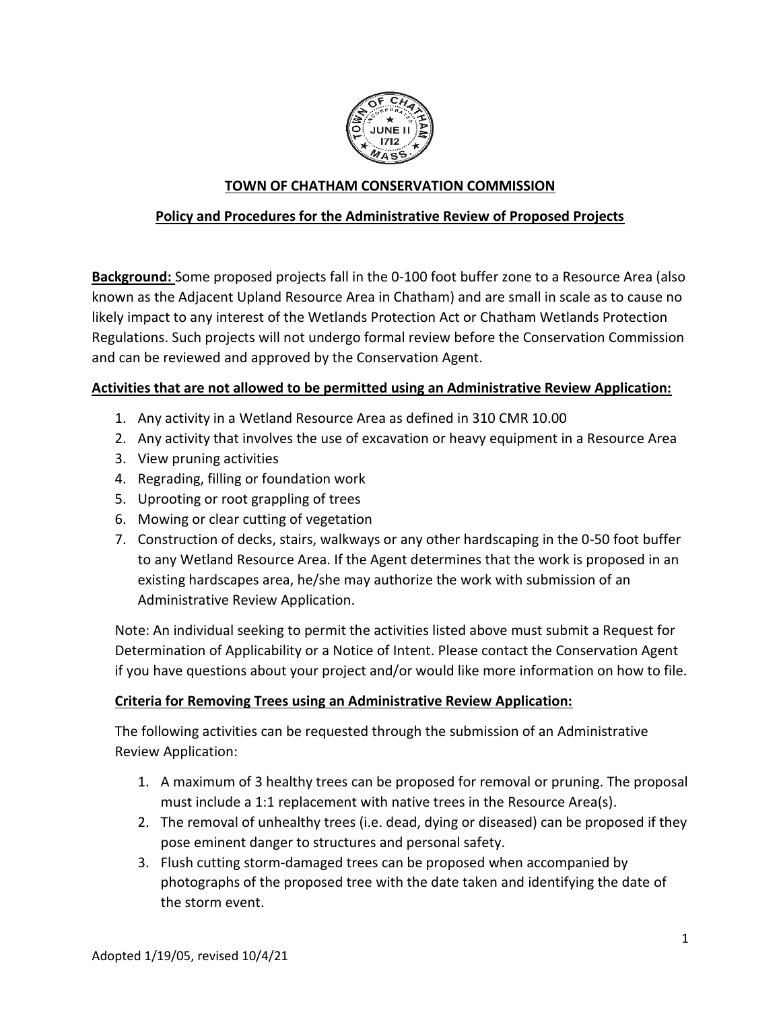

# **TOWN OF CHATHAM CONSERVATION COMMISSION**

## **Policy and Procedures for the Administrative Review of Proposed Projects**

**Background:** Some proposed projects fall in the 0-100 foot buffer zone to a Resource Area (also known as the Adjacent Upland Resource Area in Chatham) and are small in scale as to cause no likely impact to any interest of the Wetlands Protection Act or Chatham Wetlands Protection Regulations. Such projects will not undergo formal review before the Conservation Commission and can be reviewed and approved by the Conservation Agent.

### **Activities that are not allowed to be permitted using an Administrative Review Application:**

- 1. Any activity in a Wetland Resource Area as defined in 310 CMR 10.00
- 2. Any activity that involves the use of excavation or heavy equipment in a Resource Area
- 3. View pruning activities
- 4. Regrading, filling or foundation work
- 5. Uprooting or root grappling of trees
- 6. Mowing or clear cutting of vegetation
- 7. Construction of decks, stairs, walkways or any other hardscaping in the 0-50 foot buffer to any Wetland Resource Area. If the Agent determines that the work is proposed in an existing hardscapes area, he/she may authorize the work with submission of an Administrative Review Application.

Note: An individual seeking to permit the activities listed above must submit a Request for Determination of Applicability or a Notice of Intent. Please contact the Conservation Agent if you have questions about your project and/or would like more information on how to file.

### **Criteria for Removing Trees using an Administrative Review Application:**

The following activities can be requested through the submission of an Administrative Review Application:

- 1. A maximum of 3 healthy trees can be proposed for removal or pruning. The proposal must include a 1:1 replacement with native trees in the Resource Area(s).
- 2. The removal of unhealthy trees (i.e. dead, dying or diseased) can be proposed if they pose eminent danger to structures and personal safety.
- 3. Flush cutting storm-damaged trees can be proposed when accompanied by photographs of the proposed tree with the date taken and identifying the date of the storm event.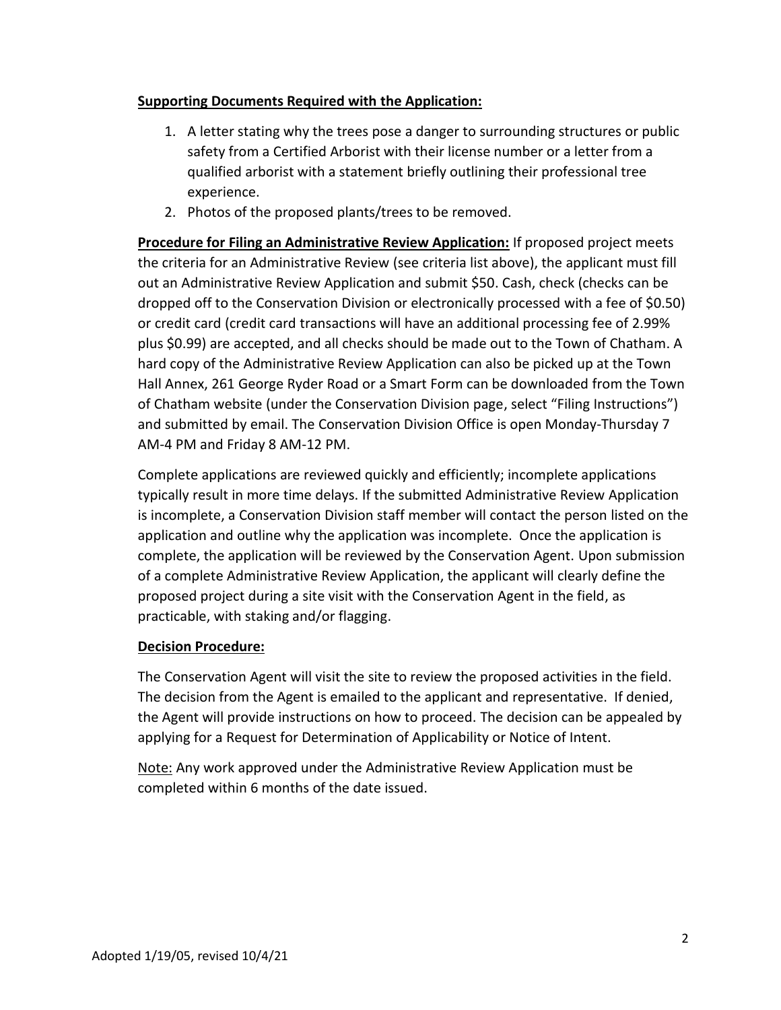### **Supporting Documents Required with the Application:**

- 1. A letter stating why the trees pose a danger to surrounding structures or public safety from a Certified Arborist with their license number or a letter from a qualified arborist with a statement briefly outlining their professional tree experience.
- 2. Photos of the proposed plants/trees to be removed.

**Procedure for Filing an Administrative Review Application:** If proposed project meets the criteria for an Administrative Review (see criteria list above), the applicant must fill out an Administrative Review Application and submit \$50. Cash, check (checks can be dropped off to the Conservation Division or electronically processed with a fee of \$0.50) or credit card (credit card transactions will have an additional processing fee of 2.99% plus \$0.99) are accepted, and all checks should be made out to the Town of Chatham. A hard copy of the Administrative Review Application can also be picked up at the Town Hall Annex, 261 George Ryder Road or a Smart Form can be downloaded from the Town of Chatham website (under the Conservation Division page, select "Filing Instructions") and submitted by email. The Conservation Division Office is open Monday-Thursday 7 AM-4 PM and Friday 8 AM-12 PM.

Complete applications are reviewed quickly and efficiently; incomplete applications typically result in more time delays. If the submitted Administrative Review Application is incomplete, a Conservation Division staff member will contact the person listed on the application and outline why the application was incomplete. Once the application is complete, the application will be reviewed by the Conservation Agent. Upon submission of a complete Administrative Review Application, the applicant will clearly define the proposed project during a site visit with the Conservation Agent in the field, as practicable, with staking and/or flagging.

### **Decision Procedure:**

The Conservation Agent will visit the site to review the proposed activities in the field. The decision from the Agent is emailed to the applicant and representative. If denied, the Agent will provide instructions on how to proceed. The decision can be appealed by applying for a Request for Determination of Applicability or Notice of Intent.

Note: Any work approved under the Administrative Review Application must be completed within 6 months of the date issued.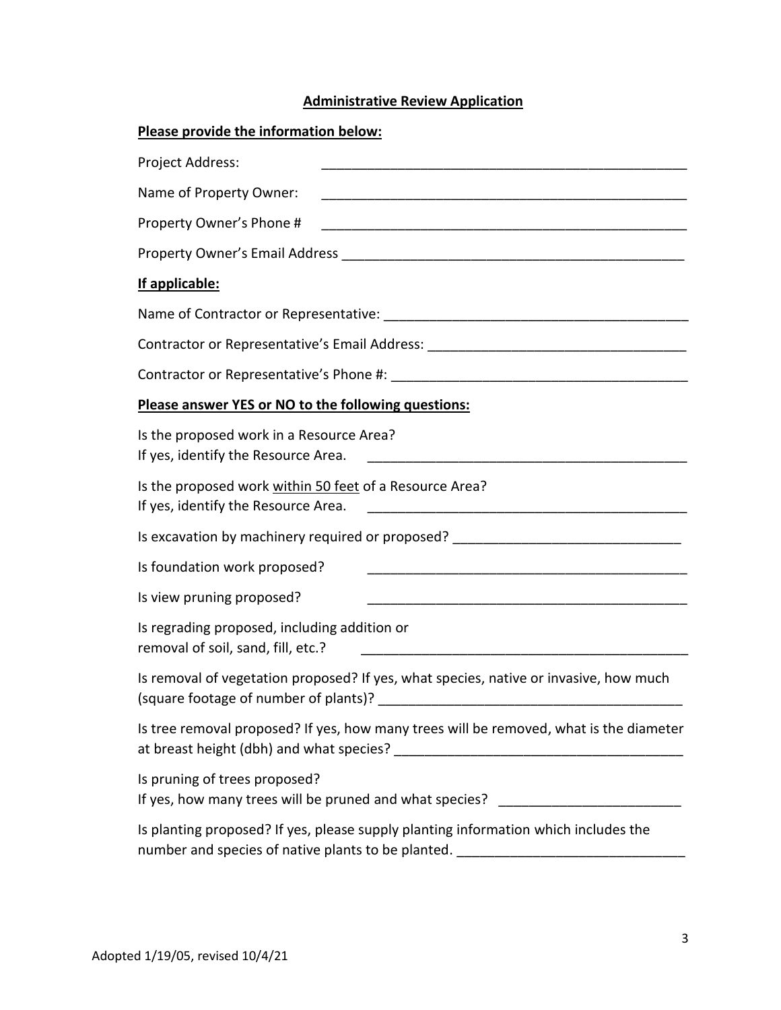# **Administrative Review Application**

| Please provide the information below:                                                                                                                                   |
|-------------------------------------------------------------------------------------------------------------------------------------------------------------------------|
| Project Address:                                                                                                                                                        |
| Name of Property Owner:<br><u> 1980 - John Stone, maria eta bainar eta baina eta baina eta baina eta baina eta baina eta baina eta baina e</u>                          |
| Property Owner's Phone #<br><u> 1980 - Jan Barbara, martxa al II-lea (h. 1980).</u>                                                                                     |
|                                                                                                                                                                         |
| If applicable:                                                                                                                                                          |
|                                                                                                                                                                         |
| Contractor or Representative's Email Address: __________________________________                                                                                        |
|                                                                                                                                                                         |
| Please answer YES or NO to the following questions:                                                                                                                     |
| Is the proposed work in a Resource Area?<br>If yes, identify the Resource Area.                                                                                         |
| Is the proposed work within 50 feet of a Resource Area?<br>If yes, identify the Resource Area.<br><u> 1980 - Jan Barbarat, martin amerikan ba</u>                       |
| Is excavation by machinery required or proposed? _______________________________                                                                                        |
| Is foundation work proposed?                                                                                                                                            |
| Is view pruning proposed?                                                                                                                                               |
| Is regrading proposed, including addition or<br>removal of soil, sand, fill, etc.?                                                                                      |
| Is removal of vegetation proposed? If yes, what species, native or invasive, how much<br>(square footage of number of plants)?                                          |
| Is tree removal proposed? If yes, how many trees will be removed, what is the diameter                                                                                  |
| Is pruning of trees proposed?<br>If yes, how many trees will be pruned and what species? ________________________                                                       |
| Is planting proposed? If yes, please supply planting information which includes the<br>number and species of native plants to be planted. _____________________________ |